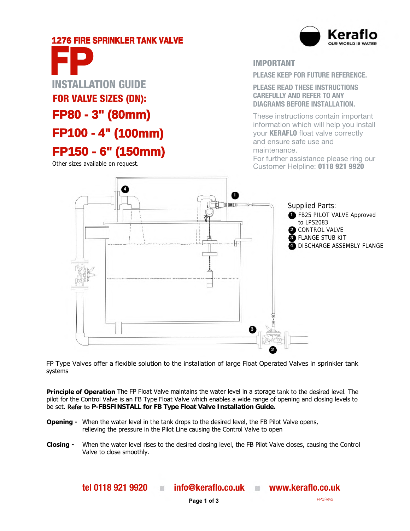# **1276 FIRE SPRINKLER TANK VALVE**



# **.**<br>...  **FP100 - 4" (100mm)**  installation guide FOR VALVE SIZES (DN): **FP80 - 3" (80mm) FP150 - 6" (150mm) F P**

Other sizes available on request.

iMPortant

**Please keeP for future reference.**

**Please reaD tHese InstructIons carefullY anD refer to anY DIaGraMs Before InstallatIon.**

These instructions contain important information which will help you install your **KERAFLO** float valve correctly and ensure safe use and maintenance. For further assistance please ring our

Customer Helpline: 0118 921 9920



FP Type Valves offer a flexible solution to the installation of large Float Operated Valves in sprinkler tank systems

**Principle of Operation** The FP Float Valve maintains the water level in a storage tank to the desired level. The pilot for the Control Valve is an FB Type Float Valve which enables a wide range of opening and closing levels to be set. Refer to **P-FBSFINSTALL for FB Type Float Valve Installation Guide.**

- **Opening -** When the water level in the tank drops to the desired level, the FB Pilot Valve opens, relieving the pressure in the Pilot Line causing the Control Valve to open
- Closing When the water level rises to the desired closing level, the FB Pilot Valve closes, causing the Control Valve to close smoothly.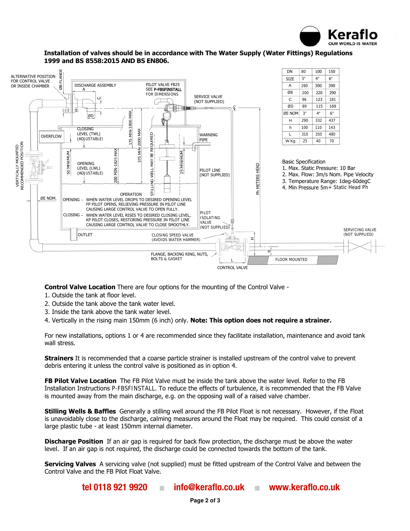



Installation of valves should be in accordance with The Water Supply (Water Fittings) Regulations 1999 and BS **8558:2015 AND BS EN806.**

Control Valve Location There are four options for the mounting of the Control Valve -

- 1. Outside the tank at floor level.
- 2. Outside the tank above the tank water level.
- 3. Inside the tank above the tank water level.
- 4. Vertically in the rising main 150mm (6 inch) only. Note: This option does not require a strainer.

For new installations, options 1 or 4 are recommended since they facilitate installation, maintenance and avoid tank wall stress.

**Strainers** It is recommended that a coarse particle strainer is installed upstream of the control valve to prevent debris entering it unless the control valve is positioned as in option 4.

**FB Pilot Valve Location** The FB Pilot Valve must be inside the tank above the water level. Refer to the FB Installation Instructions P-FBSFINSTALL. To reduce the effects of turbulence, it is recommended that the FB Valve is mounted away from the main discharge, e.g. on the opposing wall of a raised valve chamber.

Stilling Wells & Baffles Generally a stilling well around the FB Pilot Float is not necessary. However, if the Float is unavoidably close to the discharge, calming measures around the Float may be required. This could consist of a large plastic tube - at least 150mm internal diameter.

**Discharge Position** If an air gap is required for back flow protection, the discharge must be above the water level. If an air gap is not required, the discharge could be connected towards the bottom of the tank.

Servicing Valves A servicing valve (not supplied) must be fitted upstream of the Control Valve and between the Control Valve and the FB Pilot Float Valve.